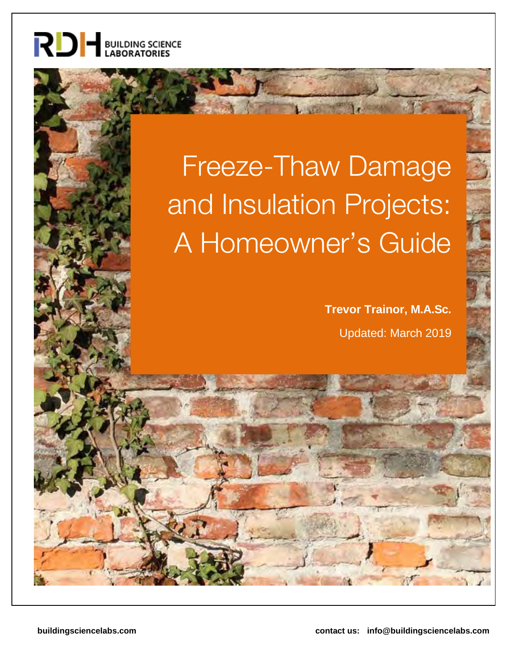

# Freeze-Thaw Damage and Insulation Projects: A Homeowner's Guide

**Trevor Trainor, M.A.Sc.** Updated: March 2019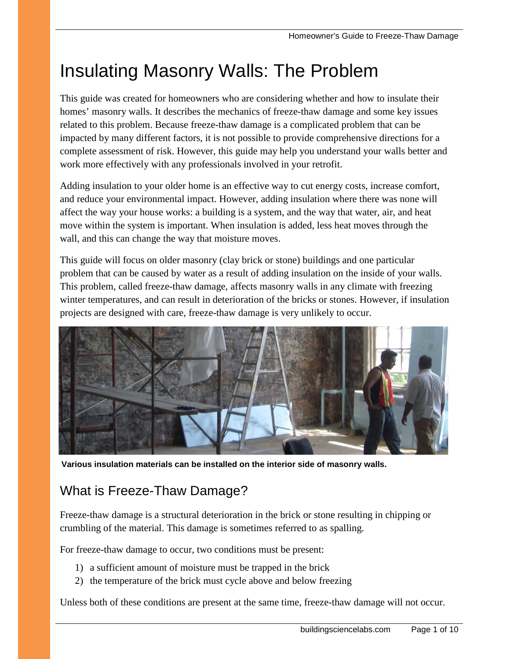# Insulating Masonry Walls: The Problem

This guide was created for homeowners who are considering whether and how to insulate their homes' masonry walls. It describes the mechanics of freeze-thaw damage and some key issues related to this problem. Because freeze-thaw damage is a complicated problem that can be impacted by many different factors, it is not possible to provide comprehensive directions for a complete assessment of risk. However, this guide may help you understand your walls better and work more effectively with any professionals involved in your retrofit.

Adding insulation to your older home is an effective way to cut energy costs, increase comfort, and reduce your environmental impact. However, adding insulation where there was none will affect the way your house works: a building is a system, and the way that water, air, and heat move within the system is important. When insulation is added, less heat moves through the wall, and this can change the way that moisture moves.

This guide will focus on older masonry (clay brick or stone) buildings and one particular problem that can be caused by water as a result of adding insulation on the inside of your walls. This problem, called freeze-thaw damage, affects masonry walls in any climate with freezing winter temperatures, and can result in deterioration of the bricks or stones. However, if insulation projects are designed with care, freeze-thaw damage is very unlikely to occur.



**Various insulation materials can be installed on the interior side of masonry walls.**

### What is Freeze-Thaw Damage?

Freeze-thaw damage is a structural deterioration in the brick or stone resulting in chipping or crumbling of the material. This damage is sometimes referred to as spalling.

For freeze-thaw damage to occur, two conditions must be present:

- 1) a sufficient amount of moisture must be trapped in the brick
- 2) the temperature of the brick must cycle above and below freezing

Unless both of these conditions are present at the same time, freeze-thaw damage will not occur.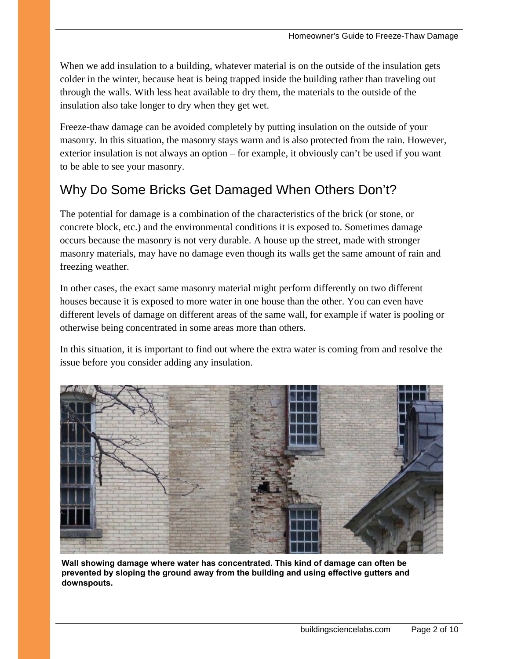When we add insulation to a building, whatever material is on the outside of the insulation gets colder in the winter, because heat is being trapped inside the building rather than traveling out through the walls. With less heat available to dry them, the materials to the outside of the insulation also take longer to dry when they get wet.

Freeze-thaw damage can be avoided completely by putting insulation on the outside of your masonry. In this situation, the masonry stays warm and is also protected from the rain. However, exterior insulation is not always an option – for example, it obviously can't be used if you want to be able to see your masonry.

### Why Do Some Bricks Get Damaged When Others Don't?

The potential for damage is a combination of the characteristics of the brick (or stone, or concrete block, etc.) and the environmental conditions it is exposed to. Sometimes damage occurs because the masonry is not very durable. A house up the street, made with stronger masonry materials, may have no damage even though its walls get the same amount of rain and freezing weather.

In other cases, the exact same masonry material might perform differently on two different houses because it is exposed to more water in one house than the other. You can even have different levels of damage on different areas of the same wall, for example if water is pooling or otherwise being concentrated in some areas more than others.

In this situation, it is important to find out where the extra water is coming from and resolve the issue before you consider adding any insulation.



**Wall showing damage where water has concentrated. This kind of damage can often be prevented by sloping the ground away from the building and using effective gutters and downspouts.**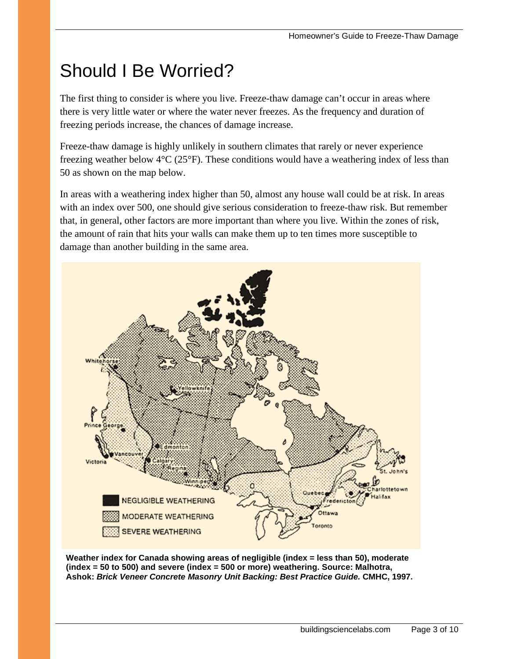## Should I Be Worried?

The first thing to consider is where you live. Freeze-thaw damage can't occur in areas where there is very little water or where the water never freezes. As the frequency and duration of freezing periods increase, the chances of damage increase.

Freeze-thaw damage is highly unlikely in southern climates that rarely or never experience freezing weather below 4°C (25°F). These conditions would have a weathering index of less than 50 as shown on the map below.

In areas with a weathering index higher than 50, almost any house wall could be at risk. In areas with an index over 500, one should give serious consideration to freeze-thaw risk. But remember that, in general, other factors are more important than where you live. Within the zones of risk, the amount of rain that hits your walls can make them up to ten times more susceptible to damage than another building in the same area.



**Weather index for Canada showing areas of negligible (index = less than 50), moderate (index = 50 to 500) and severe (index = 500 or more) weathering. Source: Malhotra, Ashok:** *Brick Veneer Concrete Masonry Unit Backing: Best Practice Guide.* **CMHC, 1997.**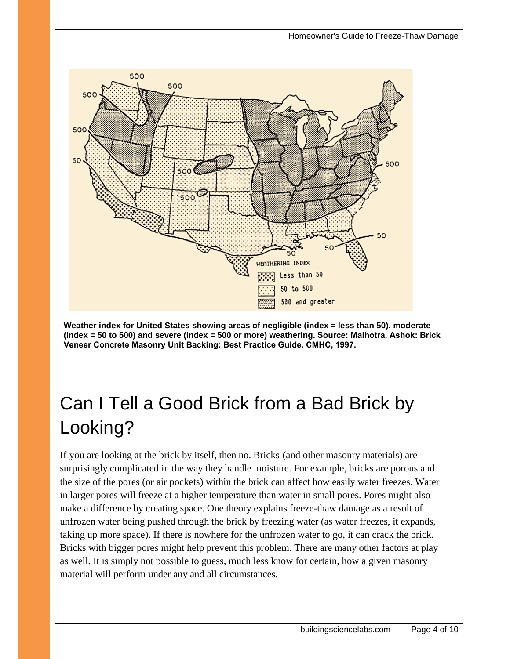![](_page_4_Figure_1.jpeg)

**Weather index for United States showing areas of negligible (index = less than 50), moderate (index = 50 to 500) and severe (index = 500 or more) weathering. Source: Malhotra, Ashok: Brick Veneer Concrete Masonry Unit Backing: Best Practice Guide. CMHC, 1997.** 

# Can I Tell a Good Brick from a Bad Brick by Looking?

If you are looking at the brick by itself, then no. Bricks (and other masonry materials) are surprisingly complicated in the way they handle moisture. For example, bricks are porous and the size of the pores (or air pockets) within the brick can affect how easily water freezes. Water in larger pores will freeze at a higher temperature than water in small pores. Pores might also make a difference by creating space. One theory explains freeze-thaw damage as a result of unfrozen water being pushed through the brick by freezing water (as water freezes, it expands, taking up more space). If there is nowhere for the unfrozen water to go, it can crack the brick. Bricks with bigger pores might help prevent this problem. There are many other factors at play as well. It is simply not possible to guess, much less know for certain, how a given masonry material will perform under any and all circumstances.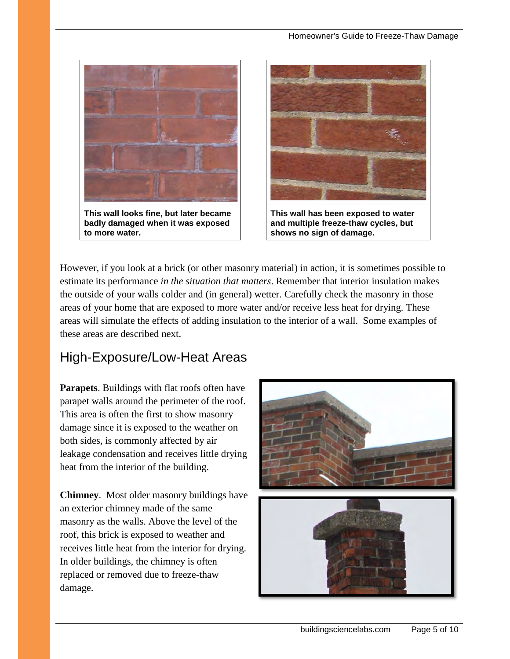![](_page_5_Picture_1.jpeg)

**badly damaged when it was exposed to more water.** 

![](_page_5_Picture_3.jpeg)

**This wall has been exposed to water and multiple freeze-thaw cycles, but shows no sign of damage.**

However, if you look at a brick (or other masonry material) in action, it is sometimes possible to estimate its performance *in the situation that matters*. Remember that interior insulation makes the outside of your walls colder and (in general) wetter. Carefully check the masonry in those areas of your home that are exposed to more water and/or receive less heat for drying. These areas will simulate the effects of adding insulation to the interior of a wall. Some examples of these areas are described next.

### High-Exposure/Low-Heat Areas

**Parapets**. Buildings with flat roofs often have parapet walls around the perimeter of the roof. This area is often the first to show masonry damage since it is exposed to the weather on both sides, is commonly affected by air leakage condensation and receives little drying heat from the interior of the building.

**Chimney**. Most older masonry buildings have an exterior chimney made of the same masonry as the walls. Above the level of the roof, this brick is exposed to weather and receives little heat from the interior for drying. In older buildings, the chimney is often replaced or removed due to freeze-thaw damage.

![](_page_5_Picture_9.jpeg)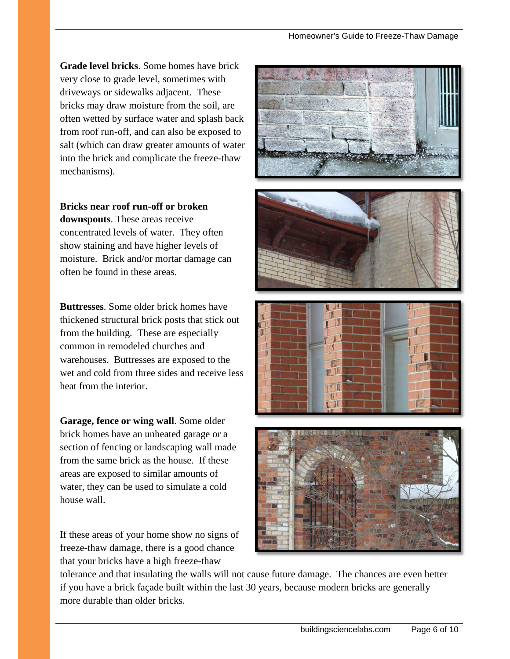**Grade level bricks**. Some homes have brick very close to grade level, sometimes with driveways or sidewalks adjacent. These bricks may draw moisture from the soil, are often wetted by surface water and splash back from roof run-off, and can also be exposed to salt (which can draw greater amounts of water into the brick and complicate the freeze-thaw mechanisms).

**Bricks near roof run-off or broken downspouts**. These areas receive concentrated levels of water. They often show staining and have higher levels of moisture. Brick and/or mortar damage can often be found in these areas.

**Buttresses**. Some older brick homes have thickened structural brick posts that stick out from the building. These are especially common in remodeled churches and warehouses. Buttresses are exposed to the wet and cold from three sides and receive less heat from the interior.

**Garage, fence or wing wall**. Some older brick homes have an unheated garage or a section of fencing or landscaping wall made from the same brick as the house. If these areas are exposed to similar amounts of water, they can be used to simulate a cold house wall.

If these areas of your home show no signs of freeze-thaw damage, there is a good chance that your bricks have a high freeze-thaw

![](_page_6_Picture_6.jpeg)

![](_page_6_Picture_7.jpeg)

tolerance and that insulating the walls will not cause future damage. The chances are even better if you have a brick façade built within the last 30 years, because modern bricks are generally more durable than older bricks.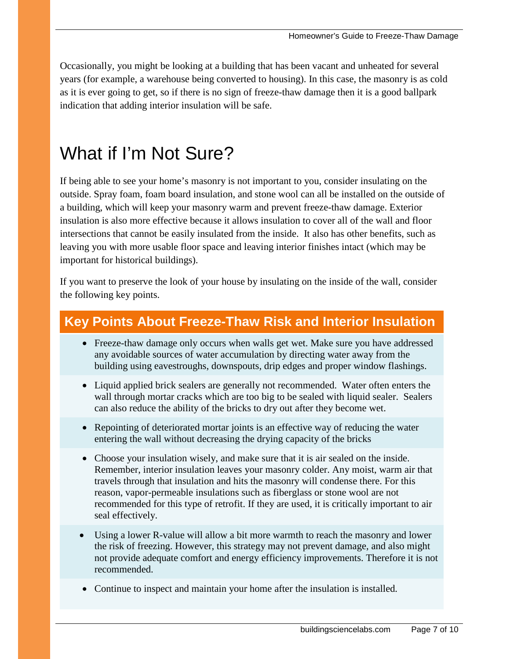Occasionally, you might be looking at a building that has been vacant and unheated for several years (for example, a warehouse being converted to housing). In this case, the masonry is as cold as it is ever going to get, so if there is no sign of freeze-thaw damage then it is a good ballpark indication that adding interior insulation will be safe.

### What if I'm Not Sure?

If being able to see your home's masonry is not important to you, consider insulating on the outside. Spray foam, foam board insulation, and stone wool can all be installed on the outside of a building, which will keep your masonry warm and prevent freeze-thaw damage. Exterior insulation is also more effective because it allows insulation to cover all of the wall and floor intersections that cannot be easily insulated from the inside. It also has other benefits, such as leaving you with more usable floor space and leaving interior finishes intact (which may be important for historical buildings).

If you want to preserve the look of your house by insulating on the inside of the wall, consider the following key points.

### **Key Points About Freeze-Thaw Risk and Interior Insulation**

- Freeze-thaw damage only occurs when walls get wet. Make sure you have addressed any avoidable sources of water accumulation by directing water away from the building using eavestroughs, downspouts, drip edges and proper window flashings.
- Liquid applied brick sealers are generally not recommended. Water often enters the wall through mortar cracks which are too big to be sealed with liquid sealer. Sealers can also reduce the ability of the bricks to dry out after they become wet.
- Repointing of deteriorated mortar joints is an effective way of reducing the water entering the wall without decreasing the drying capacity of the bricks
- Choose your insulation wisely, and make sure that it is air sealed on the inside. Remember, interior insulation leaves your masonry colder. Any moist, warm air that travels through that insulation and hits the masonry will condense there. For this reason, vapor-permeable insulations such as fiberglass or stone wool are not recommended for this type of retrofit. If they are used, it is critically important to air seal effectively.
- Using a lower R-value will allow a bit more warmth to reach the masonry and lower the risk of freezing. However, this strategy may not prevent damage, and also might not provide adequate comfort and energy efficiency improvements. Therefore it is not recommended.
- Continue to inspect and maintain your home after the insulation is installed.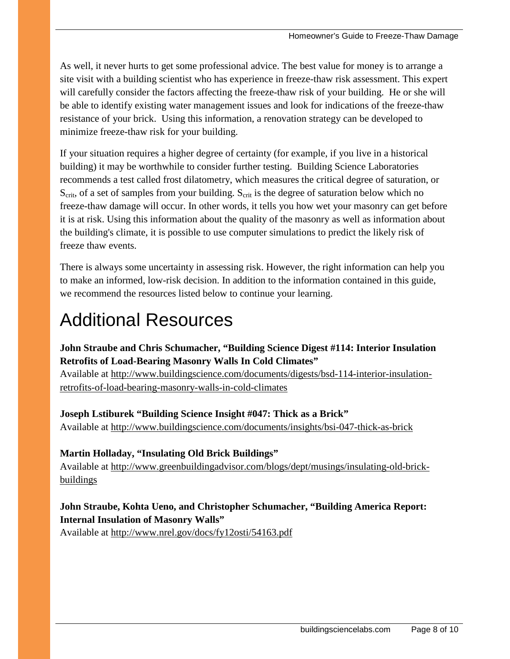As well, it never hurts to get some professional advice. The best value for money is to arrange a site visit with a building scientist who has experience in freeze-thaw risk assessment. This expert will carefully consider the factors affecting the freeze-thaw risk of your building. He or she will be able to identify existing water management issues and look for indications of the freeze-thaw resistance of your brick. Using this information, a renovation strategy can be developed to minimize freeze-thaw risk for your building.

If your situation requires a higher degree of certainty (for example, if you live in a historical building) it may be worthwhile to consider further testing. Building Science Laboratories recommends a test called frost dilatometry, which measures the critical degree of saturation, or  $S_{\text{crit}}$ , of a set of samples from your building.  $S_{\text{crit}}$  is the degree of saturation below which no freeze-thaw damage will occur. In other words, it tells you how wet your masonry can get before it is at risk. Using this information about the quality of the masonry as well as information about the building's climate, it is possible to use computer simulations to predict the likely risk of freeze thaw events.

There is always some uncertainty in assessing risk. However, the right information can help you to make an informed, low-risk decision. In addition to the information contained in this guide, we recommend the resources listed below to continue your learning.

# Additional Resources

#### **John Straube and Chris Schumacher, "Building Science Digest #114: Interior Insulation Retrofits of Load-Bearing Masonry Walls In Cold Climates"**

Available at [http://www.buildingscience.com/documents/digests/bsd-114-interior-insulation](http://www.buildingscience.com/documents/digests/bsd-114-interior-insulation-retrofits-of-load-bearing-masonry-walls-in-cold-climates)[retrofits-of-load-bearing-masonry-walls-in-cold-climates](http://www.buildingscience.com/documents/digests/bsd-114-interior-insulation-retrofits-of-load-bearing-masonry-walls-in-cold-climates) 

#### **Joseph Lstiburek "Building Science Insight #047: Thick as a Brick"**

Available at<http://www.buildingscience.com/documents/insights/bsi-047-thick-as-brick>

#### **Martin Holladay, "Insulating Old Brick Buildings"**

Available at [http://www.greenbuildingadvisor.com/blogs/dept/musings/insulating-old-brick](http://www.greenbuildingadvisor.com/blogs/dept/musings/insulating-old-brick-buildings)[buildings](http://www.greenbuildingadvisor.com/blogs/dept/musings/insulating-old-brick-buildings)

#### **John Straube, Kohta Ueno, and Christopher Schumacher, "Building America Report: Internal Insulation of Masonry Walls"**

Available at<http://www.nrel.gov/docs/fy12osti/54163.pdf>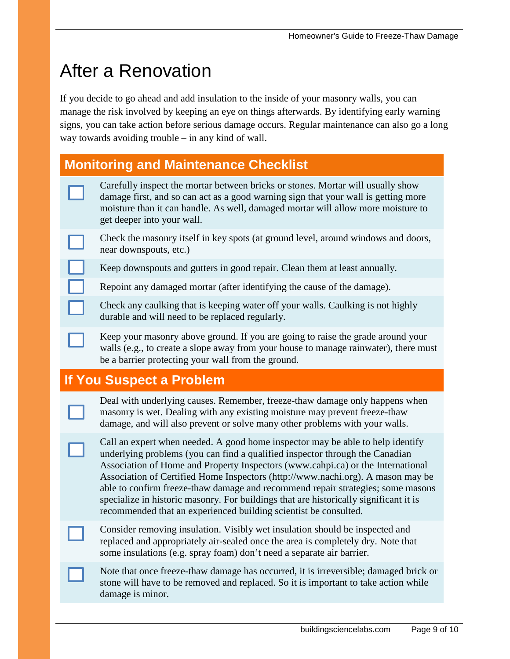### After a Renovation

If you decide to go ahead and add insulation to the inside of your masonry walls, you can manage the risk involved by keeping an eye on things afterwards. By identifying early warning signs, you can take action before serious damage occurs. Regular maintenance can also go a long way towards avoiding trouble – in any kind of wall.

#### **Monitoring and Maintenance Checklist**

- Carefully inspect the mortar between bricks or stones. Mortar will usually show damage first, and so can act as a good warning sign that your wall is getting more moisture than it can handle. As well, damaged mortar will allow more moisture to get deeper into your wall.
- Check the masonry itself in key spots (at ground level, around windows and doors, near downspouts, etc.)
- Keep downspouts and gutters in good repair. Clean them at least annually.
- Repoint any damaged mortar (after identifying the cause of the damage).
	- Check any caulking that is keeping water off your walls. Caulking is not highly durable and will need to be replaced regularly.
	- Keep your masonry above ground. If you are going to raise the grade around your walls (e.g., to create a slope away from your house to manage rainwater), there must be a barrier protecting your wall from the ground.

#### **If You Suspect a Problem**

- Deal with underlying causes. Remember, freeze-thaw damage only happens when masonry is wet. Dealing with any existing moisture may prevent freeze-thaw damage, and will also prevent or solve many other problems with your walls.
- Call an expert when needed. A good home inspector may be able to help identify underlying problems (you can find a qualified inspector through the Canadian Association of Home and Property Inspectors [\(www.cahpi.ca\)](http://www.cahpi.ca/) or the International Association of Certified Home Inspectors [\(http://www.nachi.org\)](http://www.nachi.org/). A mason may be able to confirm freeze-thaw damage and recommend repair strategies; some masons specialize in historic masonry. For buildings that are historically significant it is recommended that an experienced building scientist be consulted.
- Consider removing insulation. Visibly wet insulation should be inspected and replaced and appropriately air-sealed once the area is completely dry. Note that some insulations (e.g. spray foam) don't need a separate air barrier.
- Note that once freeze-thaw damage has occurred, it is irreversible; damaged brick or stone will have to be removed and replaced. So it is important to take action while damage is minor.